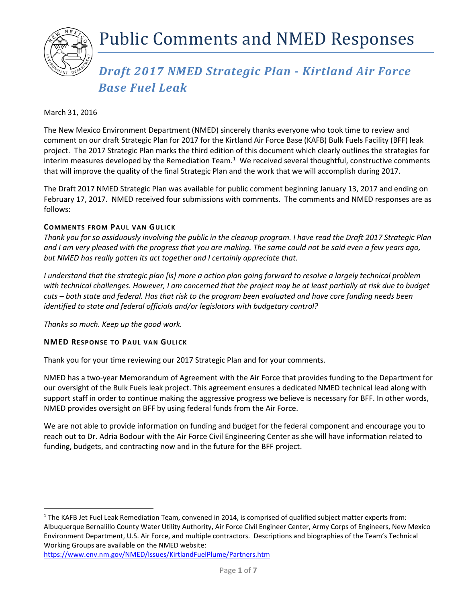

# *Draft 2017 NMED Strategic Plan - Kirtland Air Force Base Fuel Leak*

## March 31, 2016

The New Mexico Environment Department (NMED) sincerely thanks everyone who took time to review and comment on our draft Strategic Plan for 2017 for the Kirtland Air Force Base (KAFB) Bulk Fuels Facility (BFF) leak project. The 2017 Strategic Plan marks the third edition of this document which clearly outlines the strategies for interim measures developed by the Remediation Team.<sup>[1](#page-0-0)</sup> We received several thoughtful, constructive comments that will improve the quality of the final Strategic Plan and the work that we will accomplish during 2017.

The Draft 2017 NMED Strategic Plan was available for public comment beginning January 13, 2017 and ending on February 17, 2017. NMED received four submissions with comments. The comments and NMED responses are as follows:

## **COMMENTS FROM PAUL VAN GULICK**

*Thank you for so assiduously involving the public in the cleanup program. I have read the Draft 2017 Strategic Plan and I am very pleased with the progress that you are making. The same could not be said even a few years ago, but NMED has really gotten its act together and I certainly appreciate that.*

*I understand that the strategic plan [is] more a action plan going forward to resolve a largely technical problem with technical challenges. However, I am concerned that the project may be at least partially at risk due to budget cuts – both state and federal. Has that risk to the program been evaluated and have core funding needs been identified to state and federal officials and/or legislators with budgetary control?*

*Thanks so much. Keep up the good work.*

## **NMED RESPONSE TO PAUL VAN GULICK**

Thank you for your time reviewing our 2017 Strategic Plan and for your comments.

NMED has a two-year Memorandum of Agreement with the Air Force that provides funding to the Department for our oversight of the Bulk Fuels leak project. This agreement ensures a dedicated NMED technical lead along with support staff in order to continue making the aggressive progress we believe is necessary for BFF. In other words, NMED provides oversight on BFF by using federal funds from the Air Force.

We are not able to provide information on funding and budget for the federal component and encourage you to reach out to Dr. Adria Bodour with the Air Force Civil Engineering Center as she will have information related to funding, budgets, and contracting now and in the future for the BFF project.

<span id="page-0-0"></span> $1$  The KAFB Jet Fuel Leak Remediation Team, convened in 2014, is comprised of qualified subject matter experts from: Albuquerque Bernalillo County Water Utility Authority, Air Force Civil Engineer Center, Army Corps of Engineers, New Mexico Environment Department, U.S. Air Force, and multiple contractors. Descriptions and biographies of the Team's Technical Working Groups are available on the NMED website:

<https://www.env.nm.gov/NMED/Issues/KirtlandFuelPlume/Partners.htm>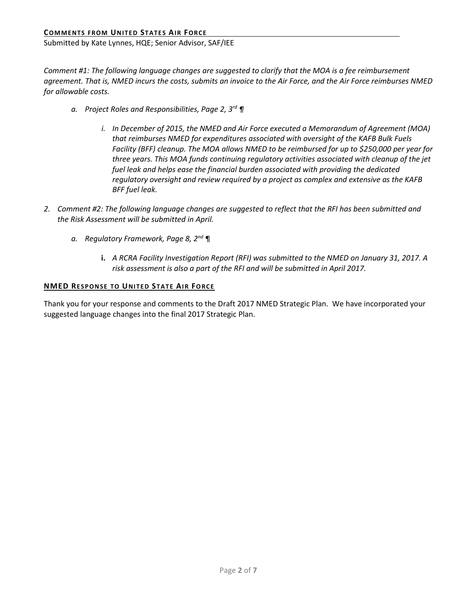Submitted by Kate Lynnes, HQE; Senior Advisor, SAF/IEE

*Comment #1: The following language changes are suggested to clarify that the MOA is a fee reimbursement agreement. That is, NMED incurs the costs, submits an invoice to the Air Force, and the Air Force reimburses NMED for allowable costs.*

- *a. Project Roles and Responsibilities, Page 2, 3rd ¶* 
	- *i. In December of 2015, the NMED and Air Force executed a Memorandum of Agreement (MOA) that reimburses NMED for expenditures associated with oversight of the KAFB Bulk Fuels Facility (BFF) cleanup. The MOA allows NMED to be reimbursed for up to \$250,000 per year for three years. This MOA funds continuing regulatory activities associated with cleanup of the jet fuel leak and helps ease the financial burden associated with providing the dedicated regulatory oversight and review required by a project as complex and extensive as the KAFB BFF fuel leak.*
- *2. Comment #2: The following language changes are suggested to reflect that the RFI has been submitted and the Risk Assessment will be submitted in April.* 
	- *a. Regulatory Framework, Page 8, 2nd* ¶
		- **i.** *A RCRA Facility Investigation Report (RFI) was submitted to the NMED on January 31, 2017. A risk assessment is also a part of the RFI and will be submitted in April 2017.*

## **NMED RESPONSE TO UNITED STATE AIR FORCE**

Thank you for your response and comments to the Draft 2017 NMED Strategic Plan. We have incorporated your suggested language changes into the final 2017 Strategic Plan.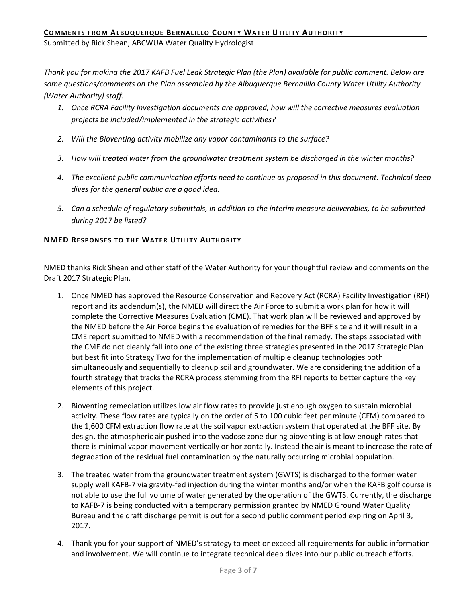Submitted by Rick Shean; ABCWUA Water Quality Hydrologist

*Thank you for making the 2017 KAFB Fuel Leak Strategic Plan (the Plan) available for public comment. Below are some questions/comments on the Plan assembled by the Albuquerque Bernalillo County Water Utility Authority (Water Authority) staff.* 

- *1. Once RCRA Facility Investigation documents are approved, how will the corrective measures evaluation projects be included/implemented in the strategic activities?*
- *2. Will the Bioventing activity mobilize any vapor contaminants to the surface?*
- *3. How will treated water from the groundwater treatment system be discharged in the winter months?*
- *4. The excellent public communication efforts need to continue as proposed in this document. Technical deep dives for the general public are a good idea.*
- *5. Can a schedule of regulatory submittals, in addition to the interim measure deliverables, to be submitted during 2017 be listed?*

## **NMED RESPONSES TO THE WATER UTILITY AUTHORITY**

NMED thanks Rick Shean and other staff of the Water Authority for your thoughtful review and comments on the Draft 2017 Strategic Plan.

- 1. Once NMED has approved the Resource Conservation and Recovery Act (RCRA) Facility Investigation (RFI) report and its addendum(s), the NMED will direct the Air Force to submit a work plan for how it will complete the Corrective Measures Evaluation (CME). That work plan will be reviewed and approved by the NMED before the Air Force begins the evaluation of remedies for the BFF site and it will result in a CME report submitted to NMED with a recommendation of the final remedy. The steps associated with the CME do not cleanly fall into one of the existing three strategies presented in the 2017 Strategic Plan but best fit into Strategy Two for the implementation of multiple cleanup technologies both simultaneously and sequentially to cleanup soil and groundwater. We are considering the addition of a fourth strategy that tracks the RCRA process stemming from the RFI reports to better capture the key elements of this project.
- 2. Bioventing remediation utilizes low air flow rates to provide just enough oxygen to sustain microbial activity. These flow rates are typically on the order of 5 to 100 cubic feet per minute (CFM) compared to the 1,600 CFM extraction flow rate at the soil vapor extraction system that operated at the BFF site. By design, the atmospheric air pushed into the vadose zone during bioventing is at low enough rates that there is minimal vapor movement vertically or horizontally. Instead the air is meant to increase the rate of degradation of the residual fuel contamination by the naturally occurring microbial population.
- 3. The treated water from the groundwater treatment system (GWTS) is discharged to the former water supply well KAFB-7 via gravity-fed injection during the winter months and/or when the KAFB golf course is not able to use the full volume of water generated by the operation of the GWTS. Currently, the discharge to KAFB-7 is being conducted with a temporary permission granted by NMED Ground Water Quality Bureau and the draft discharge permit is out for a second public comment period expiring on April 3, 2017.
- 4. Thank you for your support of NMED's strategy to meet or exceed all requirements for public information and involvement. We will continue to integrate technical deep dives into our public outreach efforts.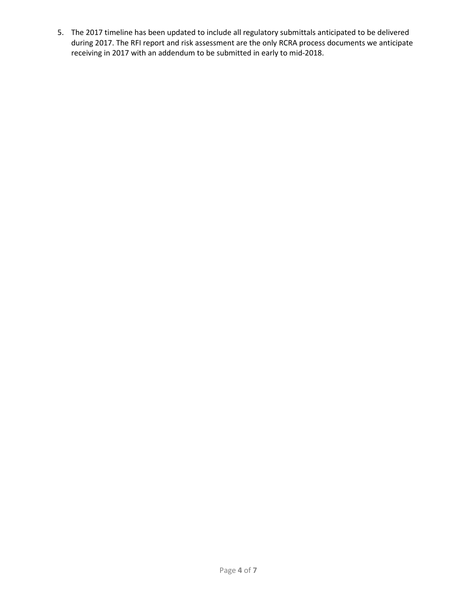5. The 2017 timeline has been updated to include all regulatory submittals anticipated to be delivered during 2017. The RFI report and risk assessment are the only RCRA process documents we anticipate receiving in 2017 with an addendum to be submitted in early to mid-2018.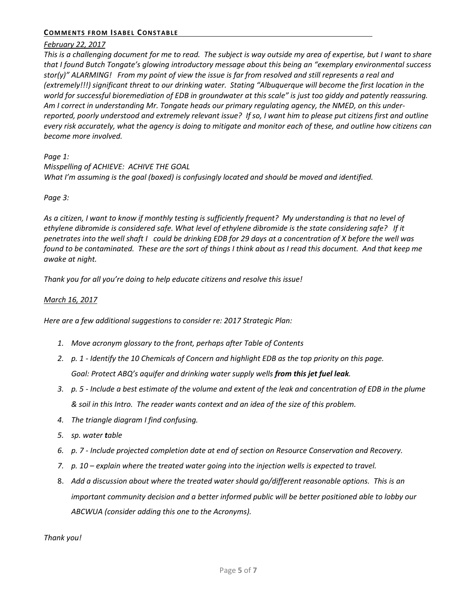## **COMMENTS FROM ISABEL CONSTABLE**

## *February 22, 2017*

*This is a challenging document for me to read. The subject is way outside my area of expertise, but I want to share that I found Butch Tongate's glowing introductory message about this being an "exemplary environmental success stor(y)" ALARMING! From my point of view the issue is far from resolved and still represents a real and (extremely!!!) significant threat to our drinking water. Stating "Albuquerque will become the first location in the world for successful bioremediation of EDB in groundwater at this scale" is just too giddy and patently reassuring. Am I correct in understanding Mr. Tongate heads our primary regulating agency, the NMED, on this underreported, poorly understood and extremely relevant issue? If so, I want him to please put citizens first and outline every risk accurately, what the agency is doing to mitigate and monitor each of these, and outline how citizens can become more involved.* 

## *Page 1:*

*Misspelling of ACHIEVE: ACHIVE THE GOAL What I'm assuming is the goal (boxed) is confusingly located and should be moved and identified.*

## *Page 3:*

*As a citizen, I want to know if monthly testing is sufficiently frequent? My understanding is that no level of ethylene dibromide is considered safe. What level of ethylene dibromide is the state considering safe? If it penetrates into the well shaft I could be drinking EDB for 29 days at a concentration of X before the well was found to be contaminated. These are the sort of things I think about as I read this document. And that keep me awake at night.*

*Thank you for all you're doing to help educate citizens and resolve this issue!*

## *March 16, 2017*

*Here are a few additional suggestions to consider re: 2017 Strategic Plan:*

- *1. Move acronym glossary to the front, perhaps after Table of Contents*
- *2. p. 1 - Identify the 10 Chemicals of Concern and highlight EDB as the top priority on this page. Goal: Protect ABQ's aquifer and drinking water supply wells from this jet fuel leak.*
- *3. p. 5 - Include a best estimate of the volume and extent of the leak and concentration of EDB in the plume & soil in this Intro. The reader wants context and an idea of the size of this problem.*
- *4. The triangle diagram I find confusing.*
- *5. sp. water table*
- *6. p. 7 - Include projected completion date at end of section on Resource Conservation and Recovery.*
- *7. p. 10 – explain where the treated water going into the injection wells is expected to travel.*
- 8. *Add a discussion about where the treated water should go/different reasonable options. This is an important community decision and a better informed public will be better positioned able to lobby our ABCWUA (consider adding this one to the Acronyms).*

*Thank you!*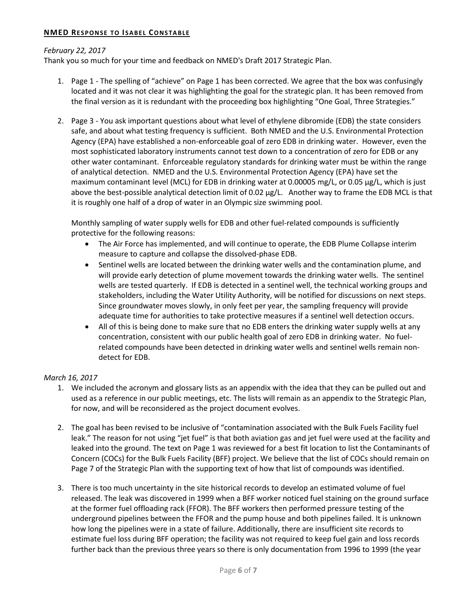## **NMED RESPONSE TO ISABEL CONSTABLE**

## *February 22, 2017*

Thank you so much for your time and feedback on NMED's Draft 2017 Strategic Plan.

- 1. Page 1 The spelling of "achieve" on Page 1 has been corrected. We agree that the box was confusingly located and it was not clear it was highlighting the goal for the strategic plan. It has been removed from the final version as it is redundant with the proceeding box highlighting "One Goal, Three Strategies."
- 2. Page 3 You ask important questions about what level of ethylene dibromide (EDB) the state considers safe, and about what testing frequency is sufficient. Both NMED and the U.S. Environmental Protection Agency (EPA) have established a non-enforceable goal of zero EDB in drinking water. However, even the most sophisticated laboratory instruments cannot test down to a concentration of zero for EDB or any other water contaminant. Enforceable regulatory standards for drinking water must be within the range of analytical detection. NMED and the U.S. Environmental Protection Agency (EPA) have set the maximum contaminant level (MCL) for EDB in drinking water at 0.00005 mg/L, or 0.05 µg/L, which is just above the best-possible analytical detection limit of 0.02 µg/L. Another way to frame the EDB MCL is that it is roughly one half of a drop of water in an Olympic size swimming pool.

Monthly sampling of water supply wells for EDB and other fuel-related compounds is sufficiently protective for the following reasons:

- The Air Force has implemented, and will continue to operate, the EDB Plume Collapse interim measure to capture and collapse the dissolved-phase EDB.
- Sentinel wells are located between the drinking water wells and the contamination plume, and will provide early detection of plume movement towards the drinking water wells. The sentinel wells are tested quarterly. If EDB is detected in a sentinel well, the technical working groups and stakeholders, including the Water Utility Authority, will be notified for discussions on next steps. Since groundwater moves slowly, in only feet per year, the sampling frequency will provide adequate time for authorities to take protective measures if a sentinel well detection occurs.
- All of this is being done to make sure that no EDB enters the drinking water supply wells at any concentration, consistent with our public health goal of zero EDB in drinking water. No fuelrelated compounds have been detected in drinking water wells and sentinel wells remain nondetect for EDB.

## *March 16, 2017*

- 1. We included the acronym and glossary lists as an appendix with the idea that they can be pulled out and used as a reference in our public meetings, etc. The lists will remain as an appendix to the Strategic Plan, for now, and will be reconsidered as the project document evolves.
- 2. The goal has been revised to be inclusive of "contamination associated with the Bulk Fuels Facility fuel leak." The reason for not using "jet fuel" is that both aviation gas and jet fuel were used at the facility and leaked into the ground. The text on Page 1 was reviewed for a best fit location to list the Contaminants of Concern (COCs) for the Bulk Fuels Facility (BFF) project. We believe that the list of COCs should remain on Page 7 of the Strategic Plan with the supporting text of how that list of compounds was identified.
- 3. There is too much uncertainty in the site historical records to develop an estimated volume of fuel released. The leak was discovered in 1999 when a BFF worker noticed fuel staining on the ground surface at the former fuel offloading rack (FFOR). The BFF workers then performed pressure testing of the underground pipelines between the FFOR and the pump house and both pipelines failed. It is unknown how long the pipelines were in a state of failure. Additionally, there are insufficient site records to estimate fuel loss during BFF operation; the facility was not required to keep fuel gain and loss records further back than the previous three years so there is only documentation from 1996 to 1999 (the year